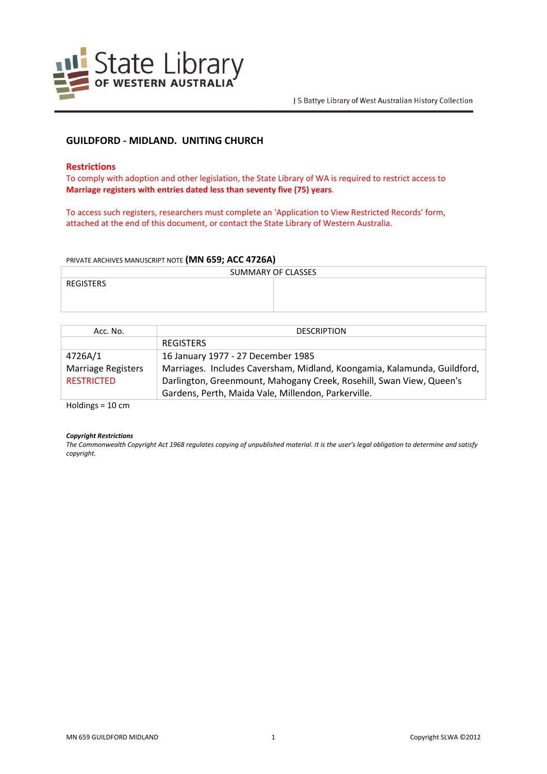

# **GUILDFORD - MIDLAND. UNITING CHURCH**

## **Restrictions**

To comply with adoption and other legislation, the State Library of WA is required to restrict access to **Marriage registers with entries dated less than seventy five (75) years**.

To access such registers, researchers must complete an 'Application to View Restricted Records' form, attached at the end of this document, or contact the State Library of Western Australia.

### PRIVATE ARCHIVES MANUSCRIPT NOTE **(MN 659; ACC 4726A)**

| SUMMARY OF CLASSES |  |  |
|--------------------|--|--|
| REGISTERS          |  |  |
|                    |  |  |
|                    |  |  |

| Acc. No.                  | <b>DESCRIPTION</b>                                                       |
|---------------------------|--------------------------------------------------------------------------|
|                           | <b>REGISTERS</b>                                                         |
| 4726A/1                   | 16 January 1977 - 27 December 1985                                       |
| <b>Marriage Registers</b> | Marriages. Includes Caversham, Midland, Koongamia, Kalamunda, Guildford, |
| <b>RESTRICTED</b>         | Darlington, Greenmount, Mahogany Creek, Rosehill, Swan View, Queen's     |
|                           | Gardens, Perth, Maida Vale, Millendon, Parkerville.                      |

Holdings = 10 cm

#### *Copyright Restrictions*

*The Commonwealth Copyright Act 1968 regulates copying of unpublished material. It is the user's legal obligation to determine and satisfy copyright.*